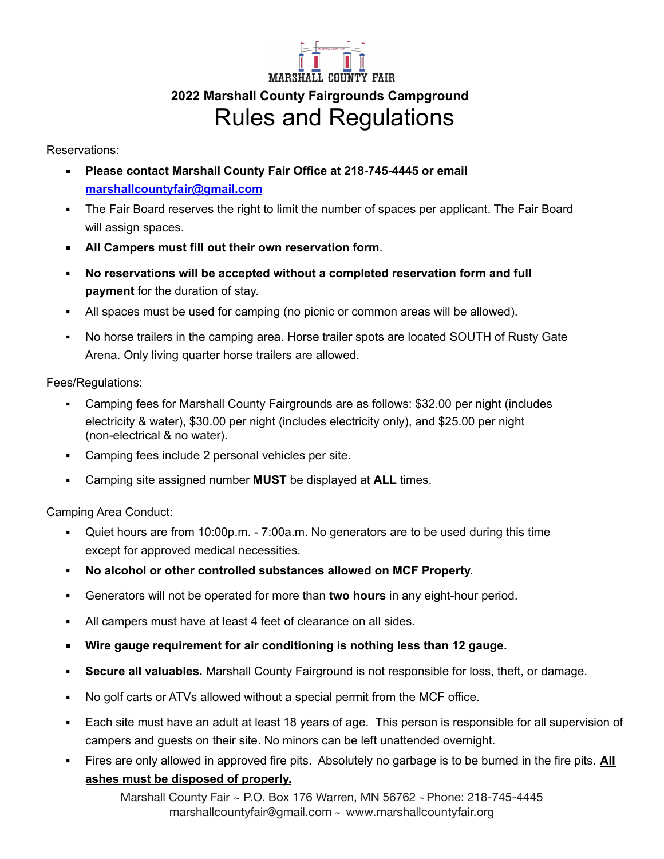## MARSHALL COUNTY FAIR **2022 Marshall County Fairgrounds Campground** Rules and Regulations

Reservations:

- **Please contact Marshall County Fair Office at 218-745-4445 or email [marshallcountyfair@gmail.com](mailto:marshallcfair@wiktel.com)**
- The Fair Board reserves the right to limit the number of spaces per applicant. The Fair Board will assign spaces.
- **All Campers must fill out their own reservation form**.
- **No reservations will be accepted without a completed reservation form and full payment** for the duration of stay.
- All spaces must be used for camping (no picnic or common areas will be allowed).
- No horse trailers in the camping area. Horse trailer spots are located SOUTH of Rusty Gate Arena. Only living quarter horse trailers are allowed.

Fees/Regulations:

- Camping fees for Marshall County Fairgrounds are as follows: \$32.00 per night (includes electricity & water), \$30.00 per night (includes electricity only), and \$25.00 per night (non-electrical & no water).
- Camping fees include 2 personal vehicles per site.
- Camping site assigned number **MUST** be displayed at **ALL** times.

Camping Area Conduct:

- Quiet hours are from 10:00p.m. 7:00a.m. No generators are to be used during this time except for approved medical necessities.
- **No alcohol or other controlled substances allowed on MCF Property.**
- Generators will not be operated for more than **two hours** in any eight-hour period.
- All campers must have at least 4 feet of clearance on all sides.
- **Wire gauge requirement for air conditioning is nothing less than 12 gauge.**
- **Secure all valuables.** Marshall County Fairground is not responsible for loss, theft, or damage.
- No golf carts or ATVs allowed without a special permit from the MCF office.
- Each site must have an adult at least 18 years of age. This person is responsible for all supervision of campers and guests on their site. No minors can be left unattended overnight.
- Fires are only allowed in approved fire pits. Absolutely no garbage is to be burned in the fire pits. **All ashes must be disposed of properly.**